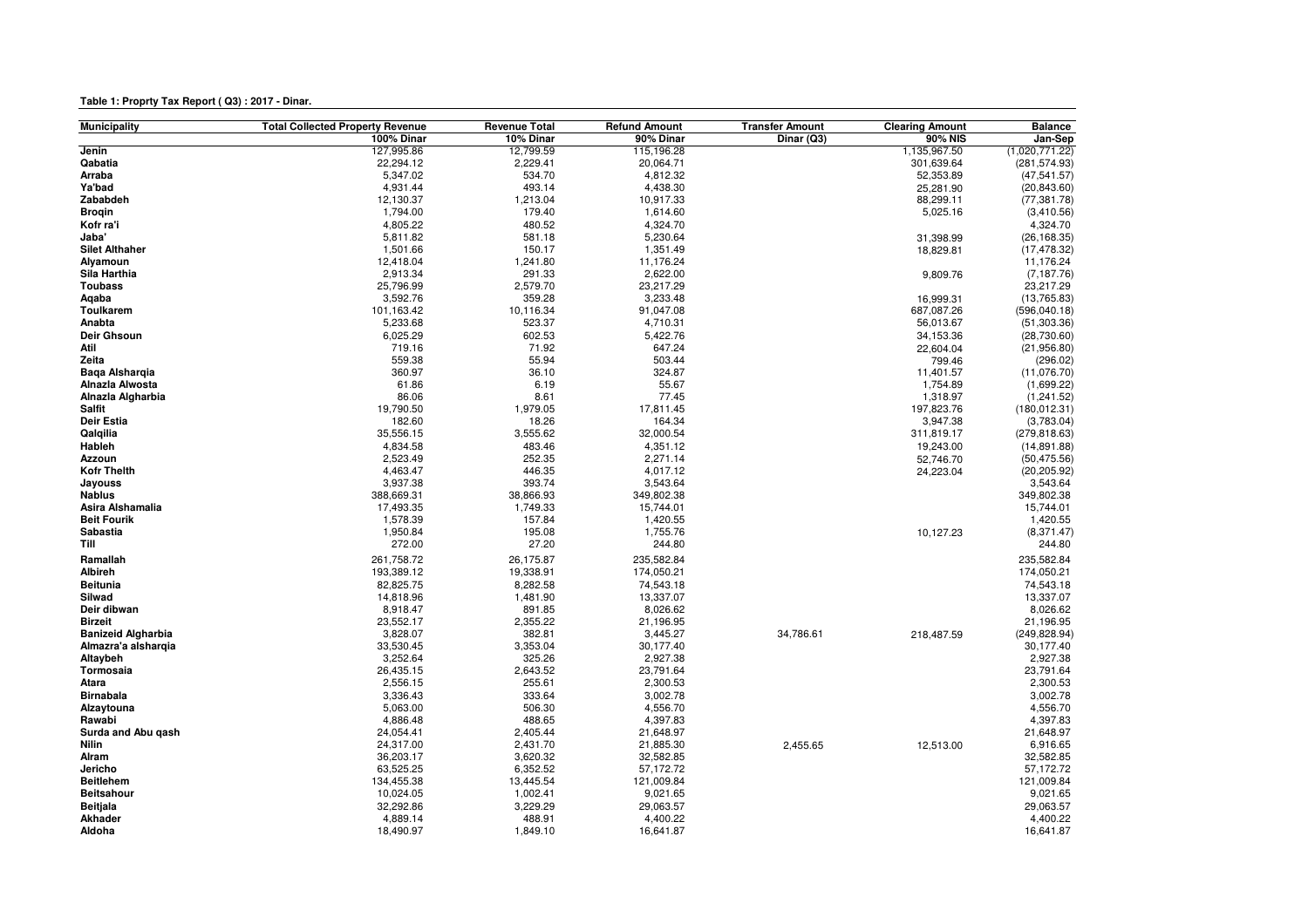## **Table 1: Proprty Tax Report ( Q3) : 2017 - Dinar.**

| <b>Municipality</b>       | <b>Total Collected Property Revenue</b> | <b>Revenue Total</b> | <b>Refund Amount</b> | <b>Transfer Amount</b> | <b>Clearing Amount</b> | <b>Balance</b> |
|---------------------------|-----------------------------------------|----------------------|----------------------|------------------------|------------------------|----------------|
|                           | 100% Dinar                              | 10% Dinar            | 90% Dinar            | Dinar (Q3)             | 90% NIS                | Jan-Sep        |
| Jenin                     | 127,995.86                              | 12,799.59            | 115,196.28           |                        | 1,135,967.50           | (1,020,771.22) |
| Qabatia                   | 22,294.12                               | 2,229.41             | 20,064.71            |                        | 301,639.64             | (281, 574.93)  |
| Arraba                    | 5,347.02                                | 534.70               | 4,812.32             |                        | 52,353.89              | (47, 541.57)   |
| Ya'bad                    | 4,931.44                                | 493.14               | 4,438.30             |                        | 25,281.90              | (20, 843.60)   |
| Zababdeh                  | 12,130.37                               | 1,213.04             | 10,917.33            |                        | 88,299.11              | (77, 381.78)   |
| <b>Brogin</b>             | 1,794.00                                | 179.40               | 1,614.60             |                        | 5,025.16               | (3,410.56)     |
| Kofr ra'i                 | 4,805.22                                | 480.52               | 4,324.70             |                        |                        | 4,324.70       |
| Jaba'                     | 5,811.82                                | 581.18               | 5,230.64             |                        | 31,398.99              | (26, 168.35)   |
| <b>Silet Althaher</b>     | 1,501.66                                | 150.17               | 1,351.49             |                        | 18,829.81              | (17, 478.32)   |
| Alyamoun                  | 12,418.04                               | 1,241.80             | 11,176.24            |                        |                        | 11,176.24      |
| Sila Harthia              | 2,913.34                                | 291.33               | 2,622.00             |                        | 9,809.76               | (7, 187.76)    |
| <b>Toubass</b>            | 25,796.99                               | 2,579.70             | 23,217.29            |                        |                        | 23,217.29      |
| Aqaba                     | 3,592.76                                | 359.28               | 3,233.48             |                        | 16,999.31              | (13,765.83)    |
| <b>Toulkarem</b>          | 101,163.42                              | 10,116.34            | 91,047.08            |                        | 687,087.26             | (596, 040.18)  |
| Anabta                    | 5,233.68                                | 523.37               | 4,710.31             |                        | 56,013.67              | (51, 303.36)   |
| Deir Ghsoun               | 6,025.29                                | 602.53               | 5,422.76             |                        | 34,153.36              | (28,730.60)    |
| Atil                      | 719.16                                  | 71.92                | 647.24               |                        | 22,604.04              | (21, 956.80)   |
| Zeita                     | 559.38                                  | 55.94                | 503.44               |                        | 799.46                 | (296.02)       |
| Baga Alshargia            | 360.97                                  | 36.10                | 324.87               |                        | 11,401.57              | (11,076.70)    |
| Alnazla Alwosta           | 61.86                                   | 6.19                 | 55.67                |                        | 1,754.89               | (1,699.22)     |
| Alnazla Algharbia         | 86.06                                   | 8.61                 | 77.45                |                        | 1,318.97               | (1, 241.52)    |
| <b>Salfit</b>             | 19,790.50                               | 1,979.05             | 17,811.45            |                        | 197,823.76             | (180, 012.31)  |
| Deir Estia                | 182.60                                  | 18.26                | 164.34               |                        | 3,947.38               | (3,783.04)     |
| Qalqilia                  | 35,556.15                               | 3,555.62             | 32,000.54            |                        | 311,819.17             | (279, 818.63)  |
| Hableh                    | 4,834.58                                | 483.46               | 4,351.12             |                        | 19,243.00              | (14, 891.88)   |
| Azzoun                    | 2,523.49                                | 252.35               | 2,271.14             |                        | 52,746.70              | (50, 475.56)   |
| <b>Kofr Thelth</b>        | 4,463.47                                | 446.35               | 4,017.12             |                        | 24,223.04              | (20, 205.92)   |
| Jayouss                   | 3,937.38                                | 393.74               | 3,543.64             |                        |                        | 3,543.64       |
| <b>Nablus</b>             | 388,669.31                              | 38,866.93            | 349,802.38           |                        |                        | 349,802.38     |
| Asira Alshamalia          | 17,493.35                               | 1,749.33             | 15,744.01            |                        |                        | 15,744.01      |
| <b>Beit Fourik</b>        | 1,578.39                                | 157.84               | 1,420.55             |                        |                        | 1,420.55       |
| Sabastia                  | 1,950.84                                | 195.08               | 1,755.76             |                        | 10,127.23              | (8, 371.47)    |
| Till                      | 272.00                                  | 27.20                | 244.80               |                        |                        | 244.80         |
| Ramallah                  | 261,758.72                              | 26,175.87            | 235,582.84           |                        |                        | 235,582.84     |
| Albireh                   | 193,389.12                              | 19,338.91            | 174,050.21           |                        |                        | 174,050.21     |
| <b>Beitunia</b>           | 82,825.75                               | 8,282.58             | 74,543.18            |                        |                        | 74,543.18      |
| Silwad                    | 14,818.96                               | 1,481.90             | 13,337.07            |                        |                        | 13,337.07      |
| Deir dibwan               | 8,918.47                                | 891.85               | 8,026.62             |                        |                        | 8,026.62       |
| <b>Birzeit</b>            | 23,552.17                               | 2,355.22             | 21,196.95            |                        |                        | 21,196.95      |
| <b>Banizeid Algharbia</b> | 3,828.07                                | 382.81               | 3,445.27             | 34,786.61              | 218,487.59             | (249,828.94    |
| Almazra'a alshargia       | 33,530.45                               | 3,353.04             | 30,177.40            |                        |                        | 30,177.40      |
| Altaybeh                  | 3,252.64                                | 325.26               | 2,927.38             |                        |                        | 2,927.38       |
| Tormosaia                 | 26,435.15                               | 2,643.52             | 23,791.64            |                        |                        | 23,791.64      |
| Atara                     | 2,556.15                                | 255.61               | 2,300.53             |                        |                        | 2,300.53       |
| <b>Birnabala</b>          | 3,336.43                                | 333.64               | 3,002.78             |                        |                        | 3,002.78       |
| Alzaytouna                | 5,063.00                                | 506.30               | 4,556.70             |                        |                        | 4,556.70       |
| Rawabi                    | 4,886.48                                | 488.65               | 4,397.83             |                        |                        | 4,397.83       |
| Surda and Abu gash        | 24,054.41                               | 2,405.44             | 21,648.97            |                        |                        | 21,648.97      |
| Nilin                     | 24,317.00                               | 2,431.70             | 21,885.30            | 2,455.65               | 12,513.00              | 6,916.65       |
| Alram                     | 36,203.17                               | 3,620.32             | 32,582.85            |                        |                        | 32,582.85      |
| Jericho                   | 63,525.25                               | 6,352.52             | 57,172.72            |                        |                        | 57,172.72      |
| <b>Beitlehem</b>          | 134,455.38                              | 13,445.54            | 121,009.84           |                        |                        | 121,009.84     |
| <b>Beitsahour</b>         | 10,024.05                               | 1,002.41             | 9,021.65             |                        |                        | 9,021.65       |
| Beitjala                  | 32,292.86                               | 3,229.29             | 29,063.57            |                        |                        | 29,063.57      |
| <b>Akhader</b>            | 4,889.14                                | 488.91               | 4,400.22             |                        |                        | 4,400.22       |
| Aldoha                    | 18,490.97                               | 1,849.10             | 16,641.87            |                        |                        | 16,641.87      |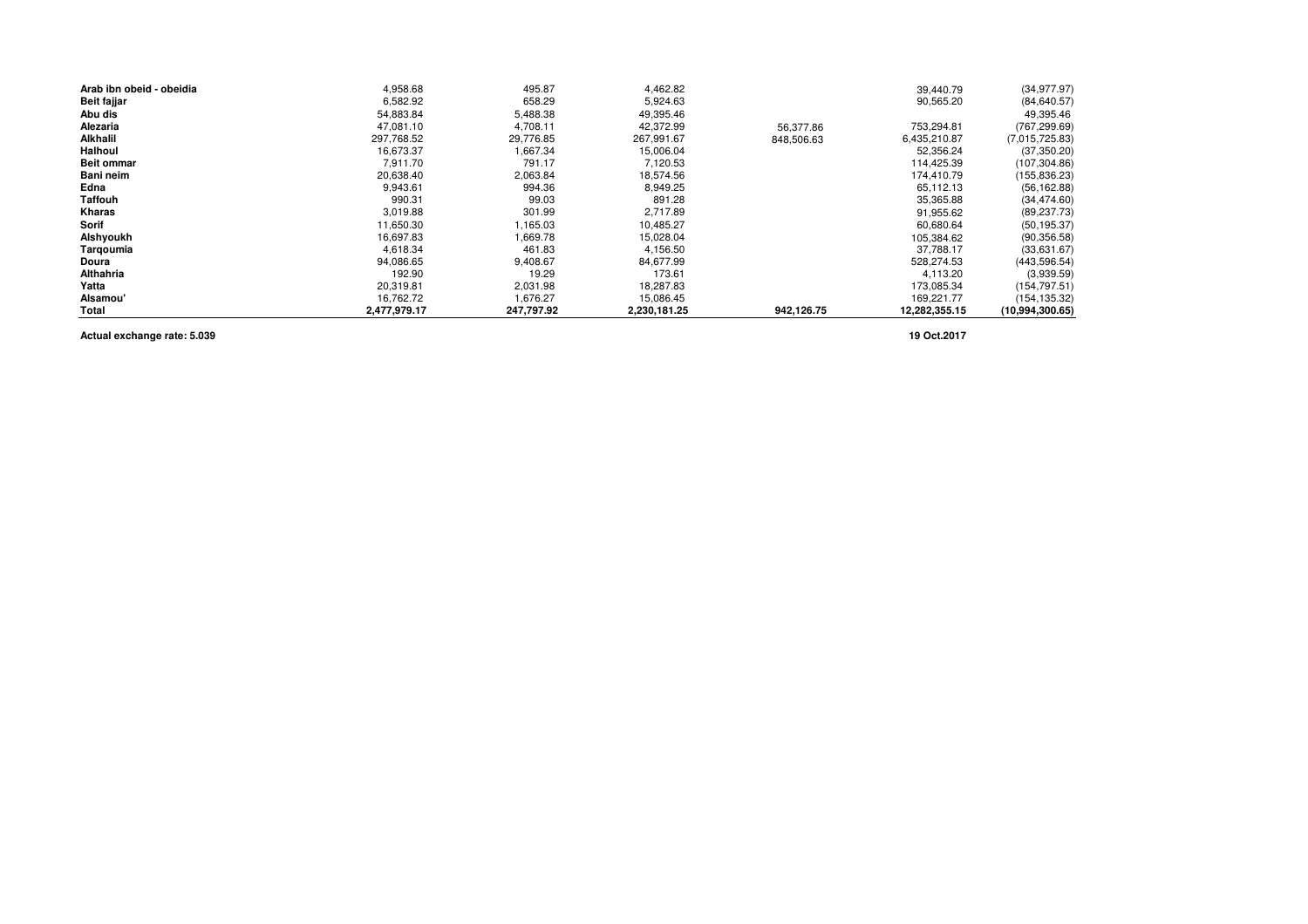| Arab ibn obeid - obeidia | 4,958.68     | 495.87     | 4,462.82     |            | 39,440.79     | (34, 977.97)    |
|--------------------------|--------------|------------|--------------|------------|---------------|-----------------|
| <b>Beit fajjar</b>       | 6,582.92     | 658.29     | 5,924.63     |            | 90,565.20     | (84, 640.57)    |
| Abu dis                  | 54,883.84    | 5,488.38   | 49,395.46    |            |               | 49,395.46       |
| Alezaria                 | 47,081.10    | 4,708.11   | 42,372.99    | 56,377.86  | 753,294.81    | (767, 299.69)   |
| Alkhalil                 | 297,768.52   | 29,776.85  | 267,991.67   | 848,506.63 | 6,435,210.87  | (7,015,725.83)  |
| Halhoul                  | 16,673.37    | 1,667.34   | 15,006.04    |            | 52,356.24     | (37, 350.20)    |
| <b>Beit ommar</b>        | 7.911.70     | 791.17     | 7,120.53     |            | 114,425.39    | (107, 304.86)   |
| Bani neim                | 20,638.40    | 2,063.84   | 18,574.56    |            | 174.410.79    | (155, 836.23)   |
| Edna                     | 9,943.61     | 994.36     | 8.949.25     |            | 65,112.13     | (56, 162.88)    |
| Taffouh                  | 990.31       | 99.03      | 891.28       |            | 35,365.88     | (34, 474.60)    |
| Kharas                   | 3,019.88     | 301.99     | 2,717.89     |            | 91,955.62     | (89, 237.73)    |
| Sorif                    | 11,650.30    | 1,165.03   | 10,485.27    |            | 60,680.64     | (50, 195.37)    |
| Alshyoukh                | 16,697.83    | 1,669.78   | 15,028.04    |            | 105,384.62    | (90, 356.58)    |
| Tarqoumia                | 4,618.34     | 461.83     | 4,156.50     |            | 37,788.17     | (33,631.67)     |
| Doura                    | 94,086.65    | 9,408.67   | 84.677.99    |            | 528.274.53    | (443, 596.54)   |
| Althahria                | 192.90       | 19.29      | 173.61       |            | 4.113.20      | (3,939.59)      |
| Yatta                    | 20,319.81    | 2,031.98   | 18,287.83    |            | 173,085.34    | (154, 797.51)   |
| Alsamou'                 | 16,762.72    | 1,676.27   | 15,086.45    |            | 169,221.77    | (154, 135.32)   |
| <b>Total</b>             | 2,477,979.17 | 247.797.92 | 2,230,181.25 | 942.126.75 | 12,282,355.15 | (10,994,300.65) |

**Actual exchange rate: 5.039**

**19 Oct.2017**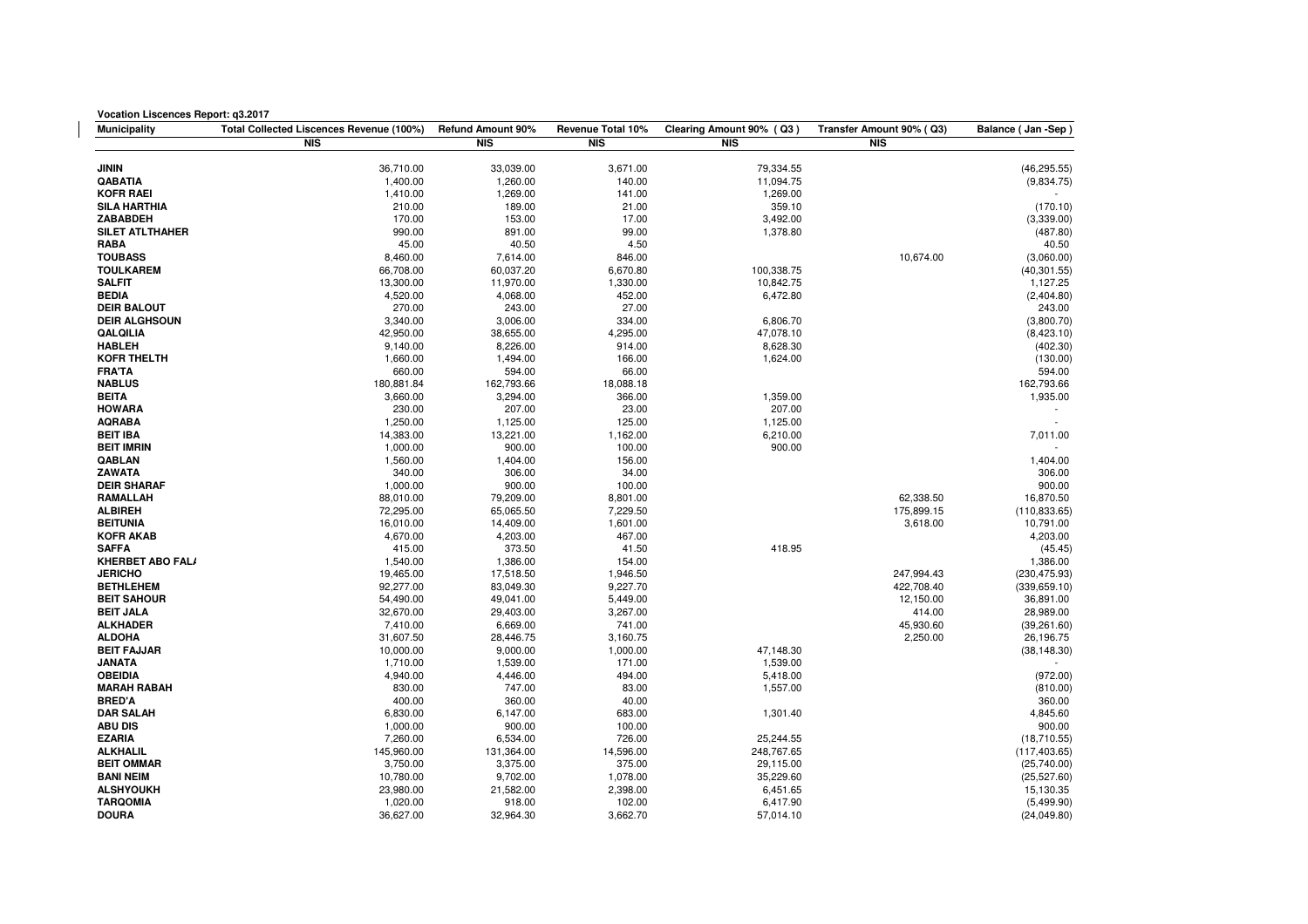| <b>Vocation Liscences Report: q3.2017</b>  |                                          |                       |                   |                          |                          |                          |  |
|--------------------------------------------|------------------------------------------|-----------------------|-------------------|--------------------------|--------------------------|--------------------------|--|
| <b>Municipality</b>                        | Total Collected Liscences Revenue (100%) | Refund Amount 90%     | Revenue Total 10% | Clearing Amount 90% (Q3) | Transfer Amount 90% (Q3) | Balance (Jan-Sep)        |  |
|                                            | <b>NIS</b>                               | <b>NIS</b>            | <b>NIS</b>        | <b>NIS</b>               | <b>NIS</b>               |                          |  |
|                                            |                                          |                       |                   |                          |                          |                          |  |
| <b>JININ</b>                               | 36,710.00                                | 33.039.00             | 3,671.00          | 79,334.55                |                          | (46, 295.55)             |  |
| QABATIA                                    | 1,400.00                                 | 1,260.00              | 140.00            | 11,094.75                |                          | (9,834.75)               |  |
| <b>KOFR RAEI</b>                           | 1,410.00                                 | 1,269.00              | 141.00            | 1,269.00                 |                          |                          |  |
| <b>SILA HARTHIA</b>                        | 210.00                                   | 189.00                | 21.00             | 359.10                   |                          | (170.10)                 |  |
| <b>ZABABDEH</b>                            | 170.00                                   | 153.00                | 17.00             | 3,492.00                 |                          | (3,339.00)               |  |
| <b>SILET ATLTHAHER</b>                     | 990.00                                   | 891.00                | 99.00             | 1,378.80                 |                          | (487.80)                 |  |
| <b>RABA</b>                                | 45.00                                    | 40.50                 | 4.50              |                          |                          | 40.50                    |  |
| <b>TOUBASS</b>                             | 8,460.00                                 | 7,614.00              | 846.00            |                          | 10,674.00                | (3,060.00)               |  |
| <b>TOULKAREM</b>                           | 66,708.00                                | 60,037.20             | 6,670.80          | 100,338.75               |                          | (40, 301.55)             |  |
| <b>SALFIT</b>                              | 13,300.00                                | 11,970.00             | 1,330.00          | 10,842.75                |                          | 1,127.25                 |  |
| <b>BEDIA</b>                               | 4,520.00                                 | 4,068.00              | 452.00            | 6,472.80                 |                          | (2,404.80)               |  |
| <b>DEIR BALOUT</b><br><b>DEIR ALGHSOUN</b> | 270.00<br>3,340.00                       | 243.00                | 27.00<br>334.00   |                          |                          | 243.00                   |  |
| QALQILIA                                   | 42,950.00                                | 3,006.00<br>38,655.00 | 4,295.00          | 6,806.70<br>47,078.10    |                          | (3,800.70)<br>(8,423.10) |  |
| <b>HABLEH</b>                              | 9,140.00                                 | 8,226.00              | 914.00            | 8,628.30                 |                          | (402.30)                 |  |
| <b>KOFR THELTH</b>                         | 1,660.00                                 | 1,494.00              | 166.00            | 1,624.00                 |                          | (130.00)                 |  |
| <b>FRA'TA</b>                              | 660.00                                   | 594.00                | 66.00             |                          |                          | 594.00                   |  |
| <b>NABLUS</b>                              | 180,881.84                               | 162,793.66            | 18,088.18         |                          |                          | 162,793.66               |  |
| <b>BEITA</b>                               | 3,660.00                                 | 3,294.00              | 366.00            | 1,359.00                 |                          | 1,935.00                 |  |
| <b>HOWARA</b>                              | 230.00                                   | 207.00                | 23.00             | 207.00                   |                          | $\overline{\phantom{a}}$ |  |
| <b>AQRABA</b>                              | 1,250.00                                 | 1,125.00              | 125.00            | 1,125.00                 |                          | $\mathbf{r}$             |  |
| <b>BEIT IBA</b>                            | 14,383.00                                | 13,221.00             | 1,162.00          | 6,210.00                 |                          | 7,011.00                 |  |
| <b>BEIT IMRIN</b>                          | 1,000.00                                 | 900.00                | 100.00            | 900.00                   |                          |                          |  |
| <b>QABLAN</b>                              | 1,560.00                                 | 1,404.00              | 156.00            |                          |                          | 1,404.00                 |  |
| ZAWATA                                     | 340.00                                   | 306.00                | 34.00             |                          |                          | 306.00                   |  |
| <b>DEIR SHARAF</b>                         | 1,000.00                                 | 900.00                | 100.00            |                          |                          | 900.00                   |  |
| <b>RAMALLAH</b>                            | 88,010.00                                | 79,209.00             | 8,801.00          |                          | 62,338.50                | 16,870.50                |  |
| <b>ALBIREH</b>                             | 72,295.00                                | 65,065.50             | 7,229.50          |                          | 175,899.15               | (110, 833.65)            |  |
| <b>BEITUNIA</b>                            | 16,010.00                                | 14,409.00             | 1,601.00          |                          | 3,618.00                 | 10,791.00                |  |
| <b>KOFR AKAB</b>                           | 4,670.00                                 | 4,203.00              | 467.00            |                          |                          | 4,203.00                 |  |
| <b>SAFFA</b>                               | 415.00                                   | 373.50                | 41.50             | 418.95                   |                          | (45.45)                  |  |
| <b>KHERBET ABO FAL/</b>                    | 1,540.00                                 | 1,386.00              | 154.00            |                          |                          | 1,386.00                 |  |
| <b>JERICHO</b>                             | 19,465.00                                | 17,518.50             | 1,946.50          |                          | 247,994.43               | (230, 475.93)            |  |
| <b>BETHLEHEM</b>                           | 92,277.00                                | 83,049.30             | 9,227.70          |                          | 422,708.40               | (339, 659.10)            |  |
| <b>BEIT SAHOUR</b>                         | 54,490.00                                | 49,041.00             | 5,449.00          |                          | 12,150.00                | 36,891.00                |  |
| <b>BEIT JALA</b>                           | 32,670.00                                | 29,403.00             | 3,267.00          |                          | 414.00                   | 28,989.00                |  |
| <b>ALKHADER</b>                            | 7,410.00                                 | 6,669.00              | 741.00            |                          | 45,930.60                | (39, 261.60)             |  |
| <b>ALDOHA</b>                              | 31,607.50                                | 28,446.75             | 3,160.75          |                          | 2,250.00                 | 26,196.75                |  |
| <b>BEIT FAJJAR</b>                         | 10,000.00                                | 9,000.00              | 1,000.00          | 47,148.30                |                          | (38, 148.30)             |  |
| <b>JANATA</b>                              | 1,710.00                                 | 1,539.00              | 171.00            | 1,539.00                 |                          |                          |  |
| <b>OBEIDIA</b><br><b>MARAH RABAH</b>       | 4,940.00                                 | 4,446.00              | 494.00<br>83.00   | 5,418.00                 |                          | (972.00)                 |  |
| <b>BRED'A</b>                              | 830.00<br>400.00                         | 747.00<br>360.00      | 40.00             | 1,557.00                 |                          | (810.00)<br>360.00       |  |
| <b>DAR SALAH</b>                           | 6,830.00                                 | 6,147.00              | 683.00            | 1,301.40                 |                          | 4,845.60                 |  |
| <b>ABU DIS</b>                             | 1,000.00                                 | 900.00                | 100.00            |                          |                          | 900.00                   |  |
| <b>EZARIA</b>                              | 7,260.00                                 | 6,534.00              | 726.00            | 25,244.55                |                          | (18,710.55)              |  |
| <b>ALKHALIL</b>                            | 145,960.00                               | 131,364.00            | 14,596.00         | 248,767.65               |                          | (117, 403.65)            |  |
| <b>BEIT OMMAR</b>                          | 3,750.00                                 | 3,375.00              | 375.00            | 29,115.00                |                          | (25,740.00)              |  |
| <b>BANI NEIM</b>                           | 10,780.00                                | 9,702.00              | 1,078.00          | 35,229.60                |                          | (25, 527.60)             |  |
| <b>ALSHYOUKH</b>                           | 23,980.00                                | 21,582.00             | 2,398.00          | 6,451.65                 |                          | 15,130.35                |  |
| <b>TARQOMIA</b>                            | 1,020.00                                 | 918.00                | 102.00            | 6,417.90                 |                          | (5,499.90)               |  |
| <b>DOURA</b>                               | 36,627.00                                | 32,964.30             | 3,662.70          | 57,014.10                |                          | (24,049.80)              |  |
|                                            |                                          |                       |                   |                          |                          |                          |  |